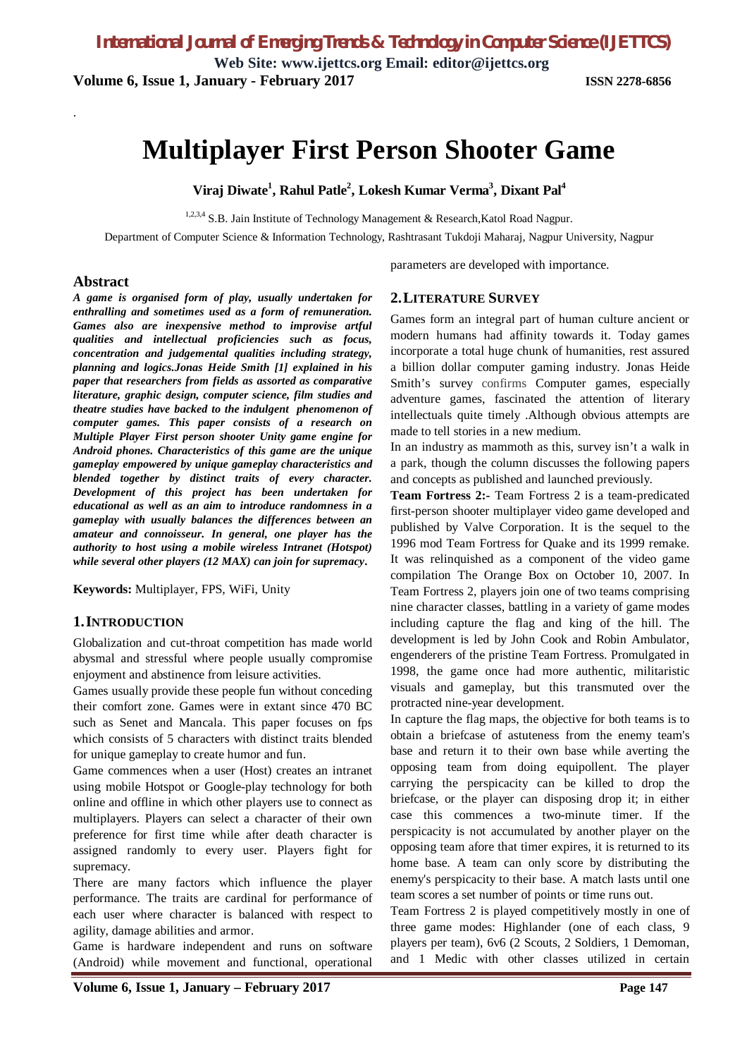**Web Site: [www.ijettcs.org](http://www.ijettcs.org) Email: [editor@ijettcs.org](mailto:editor@ijettcs.org) Volume 6, Issue 1, January - February 2017 ISSN 2278-6856**

# **Multiplayer First Person Shooter Game**

**Viraj Diwate<sup>1</sup> , Rahul Patle<sup>2</sup> , Lokesh Kumar Verma<sup>3</sup> , Dixant Pal<sup>4</sup>**

<sup>1,2,3,4</sup> S.B. Jain Institute of Technology Management & Research, Katol Road Nagpur.

Department of Computer Science & Information Technology, Rashtrasant Tukdoji Maharaj, Nagpur University, Nagpur

#### **Abstract**

.

*A game is organised form of play, usually undertaken for enthralling and sometimes used as a form of remuneration. Games also are inexpensive method to improvise artful qualities and intellectual proficiencies such as focus, concentration and judgemental qualities including strategy, planning and logics.Jonas Heide Smith [1] explained in his paper that researchers from fields as assorted as comparative literature, graphic design, computer science, film studies and theatre studies have backed to the indulgent phenomenon of computer games. This paper consists of a research on Multiple Player First person shooter Unity game engine for Android phones. Characteristics of this game are the unique gameplay empowered by unique gameplay characteristics and blended together by distinct traits of every character. Development of this project has been undertaken for educational as well as an aim to introduce randomness in a gameplay with usually balances the differences between an amateur and connoisseur. In general, one player has the authority to host using a mobile wireless Intranet (Hotspot) while several other players (12 MAX) can join for supremacy***.**

**Keywords:** Multiplayer, FPS, WiFi, Unity

#### **1.INTRODUCTION**

Globalization and cut-throat competition has made world abysmal and stressful where people usually compromise enjoyment and abstinence from leisure activities.

Games usually provide these people fun without conceding their comfort zone. Games were in extant since 470 BC such as Senet and Mancala. This paper focuses on fps which consists of 5 characters with distinct traits blended for unique gameplay to create humor and fun.

Game commences when a user (Host) creates an intranet using mobile Hotspot or Google-play technology for both online and offline in which other players use to connect as multiplayers. Players can select a character of their own preference for first time while after death character is assigned randomly to every user. Players fight for supremacy.

There are many factors which influence the player performance. The traits are cardinal for performance of each user where character is balanced with respect to agility, damage abilities and armor.

Game is hardware independent and runs on software (Android) while movement and functional, operational

parameters are developed with importance.

#### **2.LITERATURE SURVEY**

Games form an integral part of human culture ancient or modern humans had affinity towards it. Today games incorporate a total huge chunk of humanities, rest assured a billion dollar computer gaming industry. Jonas Heide Smith's survey confirms Computer games, especially adventure games, fascinated the attention of literary intellectuals quite timely .Although obvious attempts are made to tell stories in a new medium.

In an industry as mammoth as this, survey isn't a walk in a park, though the column discusses the following papers and concepts as published and launched previously.

**Team Fortress 2:-** Team Fortress 2 is a team-predicated first-person shooter multiplayer video game developed and published by Valve Corporation. It is the sequel to the 1996 mod Team Fortress for Quake and its 1999 remake. It was relinquished as a component of the video game compilation The Orange Box on October 10, 2007. In Team Fortress 2, players join one of two teams comprising nine character classes, battling in a variety of game modes including capture the flag and king of the hill. The development is led by John Cook and Robin Ambulator, engenderers of the pristine Team Fortress. Promulgated in 1998, the game once had more authentic, militaristic visuals and gameplay, but this transmuted over the protracted nine-year development.

In capture the flag maps, the objective for both teams is to obtain a briefcase of astuteness from the enemy team's base and return it to their own base while averting the opposing team from doing equipollent. The player carrying the perspicacity can be killed to drop the briefcase, or the player can disposing drop it; in either case this commences a two-minute timer. If the perspicacity is not accumulated by another player on the opposing team afore that timer expires, it is returned to its home base. A team can only score by distributing the enemy's perspicacity to their base. A match lasts until one team scores a set number of points or time runs out.

Team Fortress 2 is played competitively mostly in one of three game modes: Highlander (one of each class, 9 players per team), 6v6 (2 Scouts, 2 Soldiers, 1 Demoman, and 1 Medic with other classes utilized in certain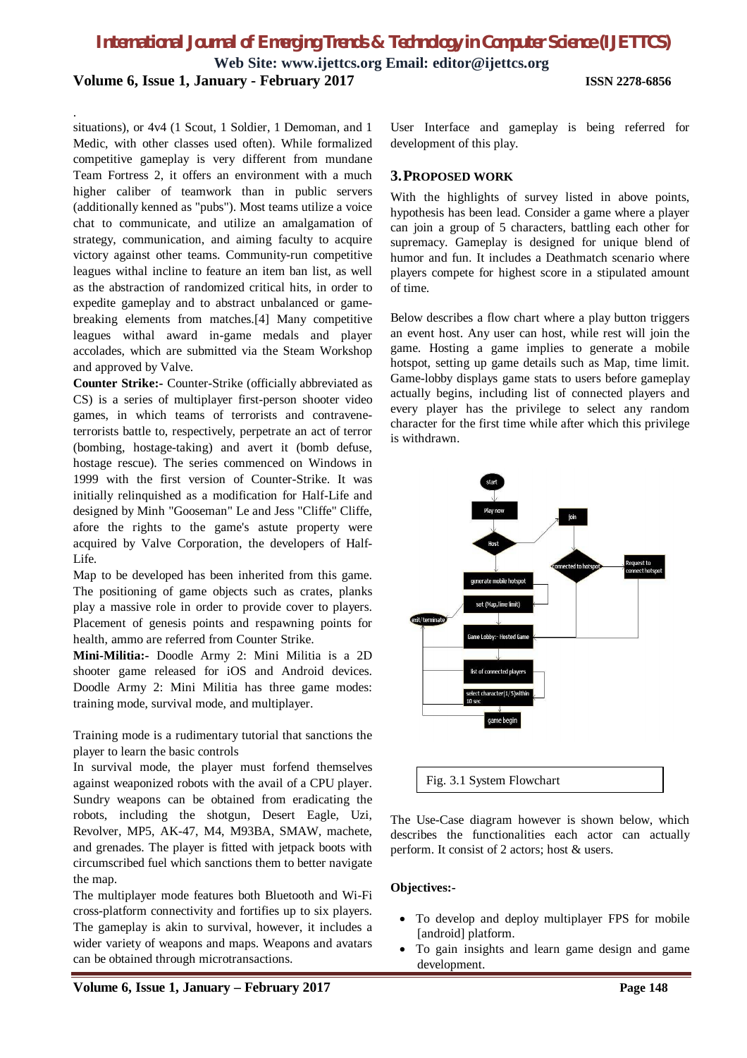# *International Journal of Emerging Trends & Technology in Computer Science (IJETTCS)*

**Web Site: [www.ijettcs.org](http://www.ijettcs.org) Email: [editor@ijettcs.org](mailto:editor@ijettcs.org) Volume 6, Issue 1, January - February 2017 ISSN 2278-6856**

situations), or 4v4 (1 Scout, 1 Soldier, 1 Demoman, and 1 Medic, with other classes used often). While formalized competitive gameplay is very different from mundane Team Fortress 2, it offers an environment with a much higher caliber of teamwork than in public servers (additionally kenned as "pubs"). Most teams utilize a voice chat to communicate, and utilize an amalgamation of strategy, communication, and aiming faculty to acquire victory against other teams. Community-run competitive leagues withal incline to feature an item ban list, as well as the abstraction of randomized critical hits, in order to expedite gameplay and to abstract unbalanced or gamebreaking elements from matches.[4] Many competitive leagues withal award in-game medals and player accolades, which are submitted via the Steam Workshop and approved by Valve.

.

**Counter Strike:-** Counter-Strike (officially abbreviated as CS) is a series of multiplayer first-person shooter video games, in which teams of terrorists and contraveneterrorists battle to, respectively, perpetrate an act of terror (bombing, hostage-taking) and avert it (bomb defuse, hostage rescue). The series commenced on Windows in 1999 with the first version of Counter-Strike. It was initially relinquished as a modification for Half-Life and designed by Minh "Gooseman" Le and Jess "Cliffe" Cliffe, afore the rights to the game's astute property were acquired by Valve Corporation, the developers of Half-Life.

Map to be developed has been inherited from this game. The positioning of game objects such as crates, planks play a massive role in order to provide cover to players. Placement of genesis points and respawning points for health, ammo are referred from Counter Strike.

**Mini-Militia:-** Doodle Army 2: Mini Militia is a 2D shooter game released for iOS and Android devices. Doodle Army 2: Mini Militia has three game modes: training mode, survival mode, and multiplayer.

Training mode is a rudimentary tutorial that sanctions the player to learn the basic controls

In survival mode, the player must forfend themselves against weaponized robots with the avail of a CPU player. Sundry weapons can be obtained from eradicating the robots, including the shotgun, Desert Eagle, Uzi, Revolver, MP5, AK-47, M4, M93BA, SMAW, machete, and grenades. The player is fitted with jetpack boots with circumscribed fuel which sanctions them to better navigate the map.

The multiplayer mode features both Bluetooth and Wi-Fi cross-platform connectivity and fortifies up to six players. The gameplay is akin to survival, however, it includes a wider variety of weapons and maps. Weapons and avatars can be obtained through microtransactions.

User Interface and gameplay is being referred for development of this play.

#### **3.PROPOSED WORK**

With the highlights of survey listed in above points, hypothesis has been lead. Consider a game where a player can join a group of 5 characters, battling each other for supremacy. Gameplay is designed for unique blend of humor and fun. It includes a Deathmatch scenario where players compete for highest score in a stipulated amount of time.

Below describes a flow chart where a play button triggers an event host. Any user can host, while rest will join the game. Hosting a game implies to generate a mobile hotspot, setting up game details such as Map, time limit. Game-lobby displays game stats to users before gameplay actually begins, including list of connected players and every player has the privilege to select any random character for the first time while after which this privilege is withdrawn.



The Use-Case diagram however is shown below, which describes the functionalities each actor can actually perform. It consist of 2 actors; host & users.

#### **Objectives:-**

- To develop and deploy multiplayer FPS for mobile [android] platform.
- To gain insights and learn game design and game development.